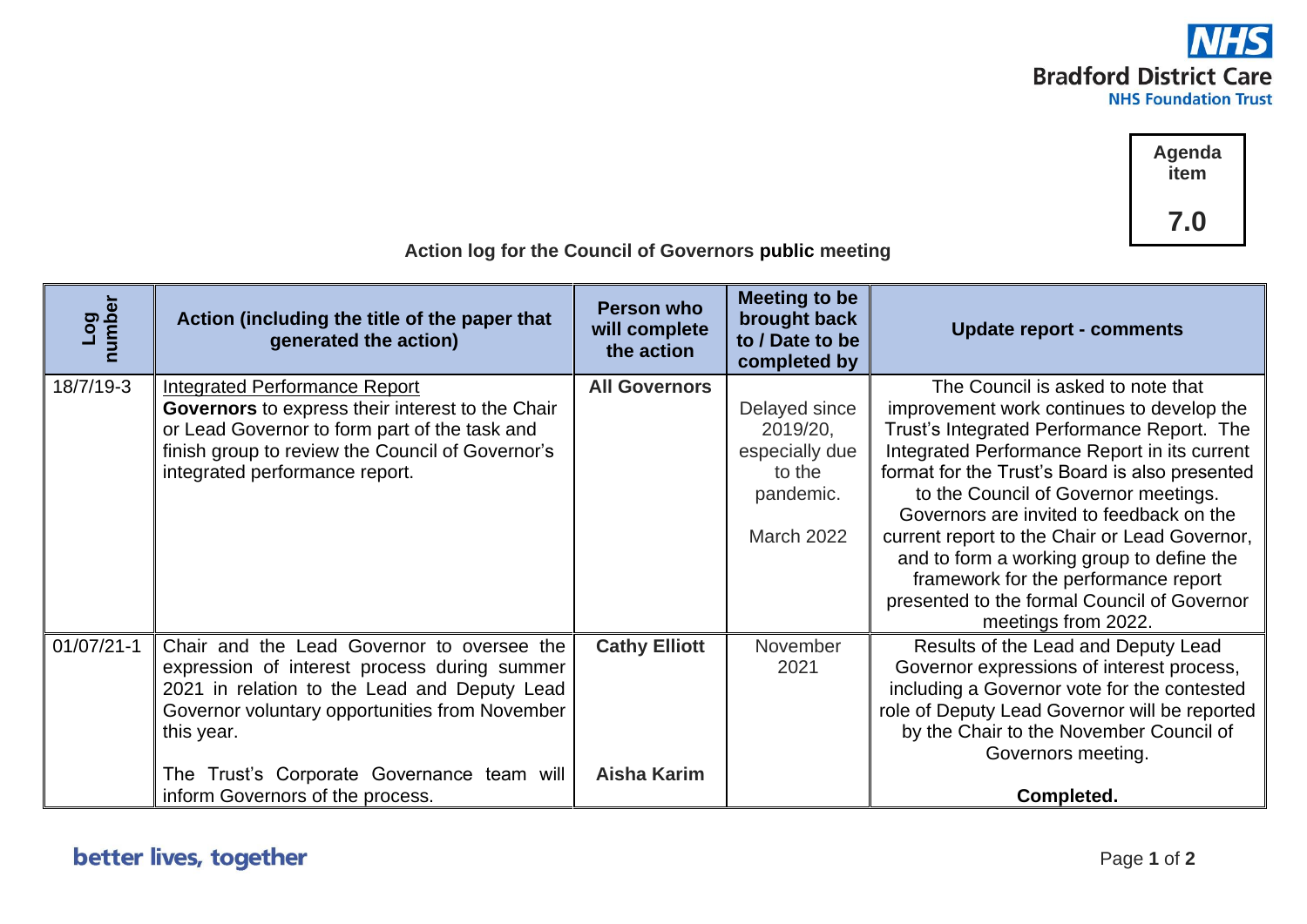

**Agenda item 7.0**

| Log<br>number | Action (including the title of the paper that<br>generated the action)                                                                                                                                                                                                                       | Person who<br>will complete<br>the action  | Meeting to be<br>brought back<br>to / Date to be<br>completed by                        | <b>Update report - comments</b>                                                                                                                                                                                                                                                                                                                                                                                                                                                                                                |
|---------------|----------------------------------------------------------------------------------------------------------------------------------------------------------------------------------------------------------------------------------------------------------------------------------------------|--------------------------------------------|-----------------------------------------------------------------------------------------|--------------------------------------------------------------------------------------------------------------------------------------------------------------------------------------------------------------------------------------------------------------------------------------------------------------------------------------------------------------------------------------------------------------------------------------------------------------------------------------------------------------------------------|
| 18/7/19-3     | <b>Integrated Performance Report</b><br>Governors to express their interest to the Chair<br>or Lead Governor to form part of the task and<br>finish group to review the Council of Governor's<br>integrated performance report.                                                              | <b>All Governors</b>                       | Delayed since<br>2019/20,<br>especially due<br>to the<br>pandemic.<br><b>March 2022</b> | The Council is asked to note that<br>improvement work continues to develop the<br>Trust's Integrated Performance Report. The<br>Integrated Performance Report in its current<br>format for the Trust's Board is also presented<br>to the Council of Governor meetings.<br>Governors are invited to feedback on the<br>current report to the Chair or Lead Governor,<br>and to form a working group to define the<br>framework for the performance report<br>presented to the formal Council of Governor<br>meetings from 2022. |
| $01/07/21-1$  | Chair and the Lead Governor to oversee the<br>expression of interest process during summer<br>2021 in relation to the Lead and Deputy Lead<br>Governor voluntary opportunities from November<br>this year.<br>The Trust's Corporate Governance team will<br>inform Governors of the process. | <b>Cathy Elliott</b><br><b>Aisha Karim</b> | November<br>2021                                                                        | Results of the Lead and Deputy Lead<br>Governor expressions of interest process,<br>including a Governor vote for the contested<br>role of Deputy Lead Governor will be reported<br>by the Chair to the November Council of<br>Governors meeting.<br>Completed.                                                                                                                                                                                                                                                                |

## **Action log for the Council of Governors public meeting**

## better lives, together